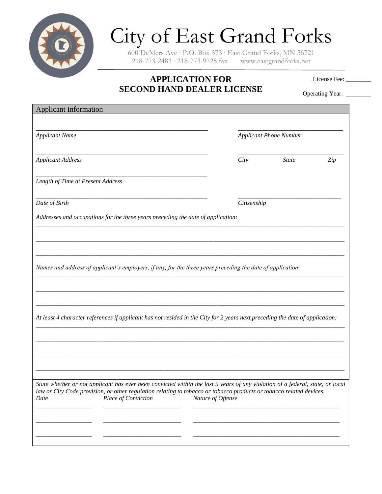

## City of East Grand Forks

600 DeMers Ave ∙ P.O. Box 373 ∙ East Grand Forks, MN 56721 218-773-2483 ∙ 218-773-9728 fax www.eastgrandforks.net

## **APPLICATION FOR SECOND HAND DEALER LICENSE**

License Fee: \_\_\_\_\_

Operating Year: \_\_\_\_\_\_\_\_

| <b>Applicant Information</b>                                                                                                                                                                                                                                                                             |      |                               |     |  |
|----------------------------------------------------------------------------------------------------------------------------------------------------------------------------------------------------------------------------------------------------------------------------------------------------------|------|-------------------------------|-----|--|
| <b>Applicant Name</b>                                                                                                                                                                                                                                                                                    |      | <b>Applicant Phone Number</b> |     |  |
| <b>Applicant Address</b>                                                                                                                                                                                                                                                                                 | City | <b>State</b>                  | Zip |  |
| Length of Time at Present Address                                                                                                                                                                                                                                                                        |      |                               |     |  |
| Date of Birth                                                                                                                                                                                                                                                                                            |      | Citizenship                   |     |  |
| Addresses and occupations for the three years preceding the date of application:                                                                                                                                                                                                                         |      |                               |     |  |
|                                                                                                                                                                                                                                                                                                          |      |                               |     |  |
| Names and address of applicant's employers, if any, for the three years preceding the date of application:                                                                                                                                                                                               |      |                               |     |  |
| At least 4 character references if applicant has not resided in the City for 2 years next preceding the date of application:                                                                                                                                                                             |      |                               |     |  |
|                                                                                                                                                                                                                                                                                                          |      |                               |     |  |
| State whether or not applicant has ever been convicted within the last 5 years of any violation of a federal, state, or local<br>law or City Code provision, or other regulation relating to tobacco or tobacco products or tobacco related devices.<br>Place of Conviction<br>Nature of Offense<br>Date |      |                               |     |  |
|                                                                                                                                                                                                                                                                                                          |      |                               |     |  |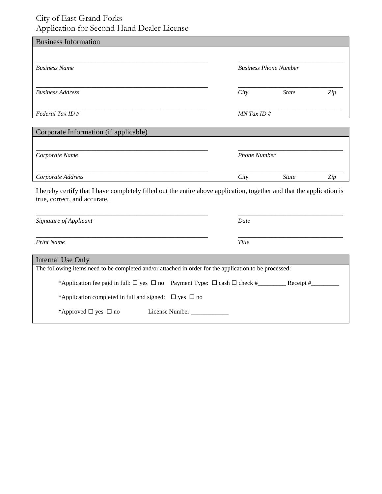## City of East Grand Forks Application for Second Hand Dealer License

| <b>Business Information</b>           |      |                              |     |  |
|---------------------------------------|------|------------------------------|-----|--|
|                                       |      |                              |     |  |
| <b>Business Name</b>                  |      | <b>Business Phone Number</b> |     |  |
|                                       |      |                              |     |  |
| <b>Business Address</b>               | City | <b>State</b>                 | Zip |  |
|                                       |      |                              |     |  |
| Federal Tax ID#                       |      | $MN$ Tax ID #                |     |  |
|                                       |      |                              |     |  |
| Corporate Information (if applicable) |      |                              |     |  |
|                                       |      |                              |     |  |
| Corporate Name                        |      | <b>Phone Number</b>          |     |  |
|                                       |      |                              |     |  |
| Corporate Address                     | City | <b>State</b>                 | Zip |  |

| Signature of Applicant                                                                                 | Date        |
|--------------------------------------------------------------------------------------------------------|-------------|
| <b>Print Name</b>                                                                                      | Title       |
| Internal Use Only                                                                                      |             |
| The following items need to be completed and/or attached in order for the application to be processed: |             |
|                                                                                                        | Receipt $#$ |
| *Application completed in full and signed: $\Box$ yes $\Box$ no                                        |             |
| *Approved $\Box$ yes $\Box$ no<br>License Number                                                       |             |